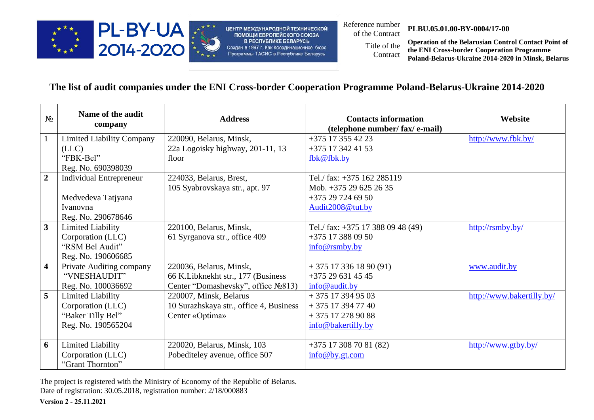

ЦЕНТР МЕЖДУНАРОДНОЙ ТЕХНИЧЕСКОЙ ПОМОЩИ ЕВРОПЕЙСКОГО СОЮЗА В РЕСПУБЛИКЕ БЕЛАРУСЬ Создан в 1997 г. Как Координационное бюро Программы ТАСИС в Республике Беларусь

Reference number<br>of the Contract

## of the Contract **PLBU.05.01.00-BY-0004/17-00**

Title of the **Contract** 

**Operation of the Belarusian Control Contact Point of the ENI Cross-border Cooperation Programme Poland-Belarus-Ukraine 2014-2020 in Minsk, Belarus**

## **The list of audit companies under the ENI Cross-border Cooperation Programme Poland-Belarus-Ukraine 2014-2020**

| $N_2$                   | Name of the audit<br>company     | <b>Address</b>                          | <b>Contacts information</b><br>(telephone number/ fax/ e-mail) | Website                   |
|-------------------------|----------------------------------|-----------------------------------------|----------------------------------------------------------------|---------------------------|
| $\mathbf{1}$            | <b>Limited Liability Company</b> | 220090, Belarus, Minsk,                 | $+375$ 17 355 42 23                                            | http://www.fbk.by/        |
|                         | (LLC)                            | 22a Logoisky highway, 201-11, 13        | +375 17 342 41 53                                              |                           |
|                         | "FBK-Bel"                        | floor                                   | fbk@fbk.by                                                     |                           |
|                         | Reg. No. 690398039               |                                         |                                                                |                           |
| $\overline{2}$          | <b>Individual Entrepreneur</b>   | 224033, Belarus, Brest,                 | Tel./ fax: +375 162 285119                                     |                           |
|                         |                                  | 105 Syabrovskaya str., apt. 97          | Mob. +375 29 625 26 35                                         |                           |
|                         | Medvedeva Tatjyana               |                                         | $+375297246950$                                                |                           |
|                         | Ivanovna                         |                                         | Audit2008@tut.by                                               |                           |
|                         | Reg. No. 290678646               |                                         |                                                                |                           |
| $\mathbf{3}$            | <b>Limited Liability</b>         | 220100, Belarus, Minsk,                 | Tel./ fax: +375 17 388 09 48 (49)                              | http://rsmby.by/          |
|                         | Corporation (LLC)                | 61 Syrganova str., office 409           | $+375$ 17 388 09 50                                            |                           |
|                         | "RSM Bel Audit"                  |                                         | info@rsmby.by                                                  |                           |
|                         | Reg. No. 190606685               |                                         |                                                                |                           |
| $\overline{\mathbf{4}}$ | Private Auditing company         | 220036, Belarus, Minsk,                 | $+375173361890(91)$                                            | www.audit.by              |
|                         | "VNESHAUDIT"                     | 66 K.Libknekht str., 177 (Business)     | $+375296314545$                                                |                           |
|                         | Reg. No. 100036692               | Center "Domashevsky", office №813)      | info@audit.by                                                  |                           |
| 5                       | <b>Limited Liability</b>         | 220007, Minsk, Belarus                  | $+375$ 17 394 95 03                                            | http://www.bakertilly.by/ |
|                         | Corporation (LLC)                | 10 Surazhskaya str., office 4, Business | $+375$ 17 394 77 40                                            |                           |
|                         | "Baker Tilly Bel"                | Center «Optima»                         | + 375 17 278 90 88                                             |                           |
|                         | Reg. No. 190565204               |                                         | info@bakertilly.by                                             |                           |
|                         |                                  |                                         |                                                                |                           |
| 6                       | <b>Limited Liability</b>         | 220020, Belarus, Minsk, 103             | $+375$ 17 308 70 81 (82)                                       | http://www.gtby.by/       |
|                         | Corporation (LLC)                | Pobediteley avenue, office 507          | info@by.gt.com                                                 |                           |
|                         | "Grant Thornton"                 |                                         |                                                                |                           |

The project is registered with the Ministry of Economy of the Republic of Belarus. Date of registration: 30.05.2018, registration number: 2/18/000883